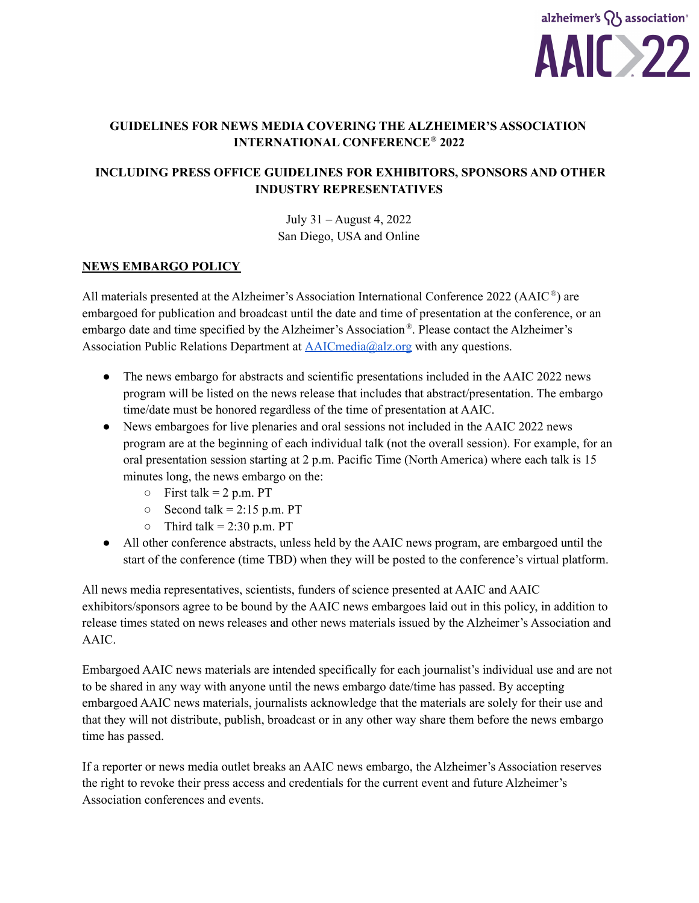

# **GUIDELINES FOR NEWS MEDIA COVERING THE ALZHEIMER'S ASSOCIATION INTERNATIONAL CONFERENCE ® 2022**

# **INCLUDING PRESS OFFICE GUIDELINES FOR EXHIBITORS, SPONSORS AND OTHER INDUSTRY REPRESENTATIVES**

July 31 – August 4, 2022 San Diego, USA and Online

#### **NEWS EMBARGO POLICY**

All materials presented at the Alzheimer's Association International Conference 2022 (AAIC<sup>®</sup>) are embargoed for publication and broadcast until the date and time of presentation at the conference, or an embargo date and time specified by the Alzheimer's Association<sup>®</sup>. Please contact the Alzheimer's Association Public Relations Department at [AAICmedia@alz.org](mailto:AAICmedia@alz.org) with any questions.

- The news embargo for abstracts and scientific presentations included in the AAIC 2022 news program will be listed on the news release that includes that abstract/presentation. The embargo time/date must be honored regardless of the time of presentation at AAIC.
- News embargoes for live plenaries and oral sessions not included in the AAIC 2022 news program are at the beginning of each individual talk (not the overall session). For example, for an oral presentation session starting at 2 p.m. Pacific Time (North America) where each talk is 15 minutes long, the news embargo on the:
	- $\circ$  First talk = 2 p.m. PT
	- $\circ$  Second talk = 2:15 p.m. PT
	- $\circ$  Third talk = 2:30 p.m. PT
- All other conference abstracts, unless held by the AAIC news program, are embargoed until the start of the conference (time TBD) when they will be posted to the conference's virtual platform.

All news media representatives, scientists, funders of science presented at AAIC and AAIC exhibitors/sponsors agree to be bound by the AAIC news embargoes laid out in this policy, in addition to release times stated on news releases and other news materials issued by the Alzheimer's Association and AAIC.

Embargoed AAIC news materials are intended specifically for each journalist's individual use and are not to be shared in any way with anyone until the news embargo date/time has passed. By accepting embargoed AAIC news materials, journalists acknowledge that the materials are solely for their use and that they will not distribute, publish, broadcast or in any other way share them before the news embargo time has passed.

If a reporter or news media outlet breaks an AAIC news embargo, the Alzheimer's Association reserves the right to revoke their press access and credentials for the current event and future Alzheimer's Association conferences and events.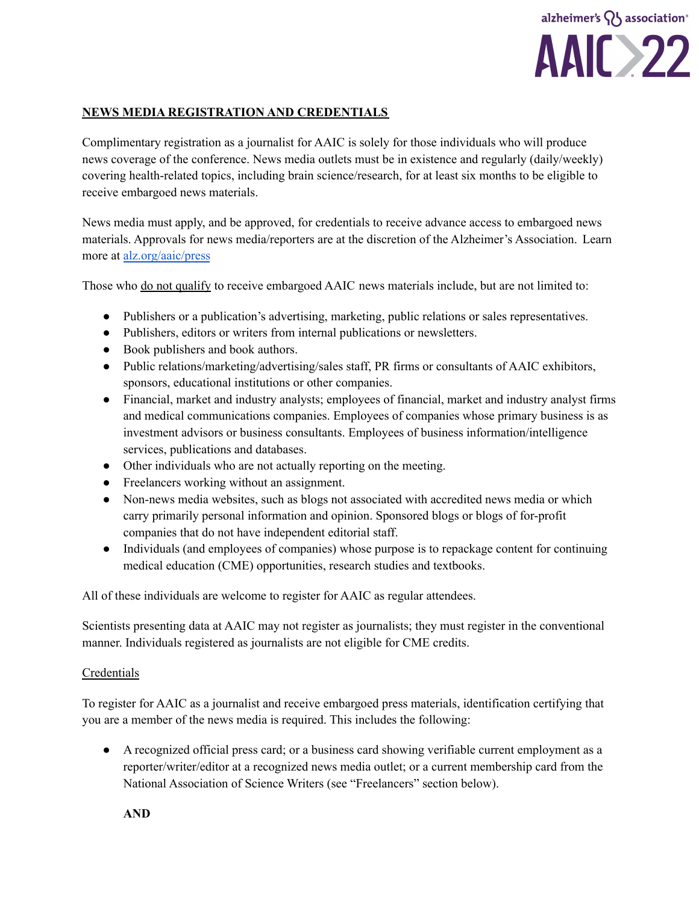

## **NEWS MEDIA REGISTRATION AND CREDENTIALS**

Complimentary registration as a journalist for AAIC is solely for those individuals who will produce news coverage of the conference. News media outlets must be in existence and regularly (daily/weekly) covering health-related topics, including brain science/research, for at least six months to be eligible to receive embargoed news materials.

News media must apply, and be approved, for credentials to receive advance access to embargoed news materials. Approvals for news media/reporters are at the discretion of the Alzheimer's Association. Learn more at [alz.org/aaic/press](https://alz.org/aaic/pressroom.asp)

Those who do not qualify to receive embargoed AAIC news materials include, but are not limited to:

- Publishers or a publication's advertising, marketing, public relations or sales representatives.
- Publishers, editors or writers from internal publications or newsletters.
- Book publishers and book authors.
- Public relations/marketing/advertising/sales staff, PR firms or consultants of AAIC exhibitors, sponsors, educational institutions or other companies.
- Financial, market and industry analysts; employees of financial, market and industry analyst firms and medical communications companies. Employees of companies whose primary business is as investment advisors or business consultants. Employees of business information/intelligence services, publications and databases.
- Other individuals who are not actually reporting on the meeting.
- Freelancers working without an assignment.
- Non-news media websites, such as blogs not associated with accredited news media or which carry primarily personal information and opinion. Sponsored blogs or blogs of for-profit companies that do not have independent editorial staff.
- Individuals (and employees of companies) whose purpose is to repackage content for continuing medical education (CME) opportunities, research studies and textbooks.

All of these individuals are welcome to register for AAIC as regular attendees.

Scientists presenting data at AAIC may not register as journalists; they must register in the conventional manner. Individuals registered as journalists are not eligible for CME credits.

### Credentials

To register for AAIC as a journalist and receive embargoed press materials, identification certifying that you are a member of the news media is required. This includes the following:

● A recognized official press card; or a business card showing verifiable current employment as a reporter/writer/editor at a recognized news media outlet; or a current membership card from the National Association of Science Writers (see "Freelancers" section below).

**AND**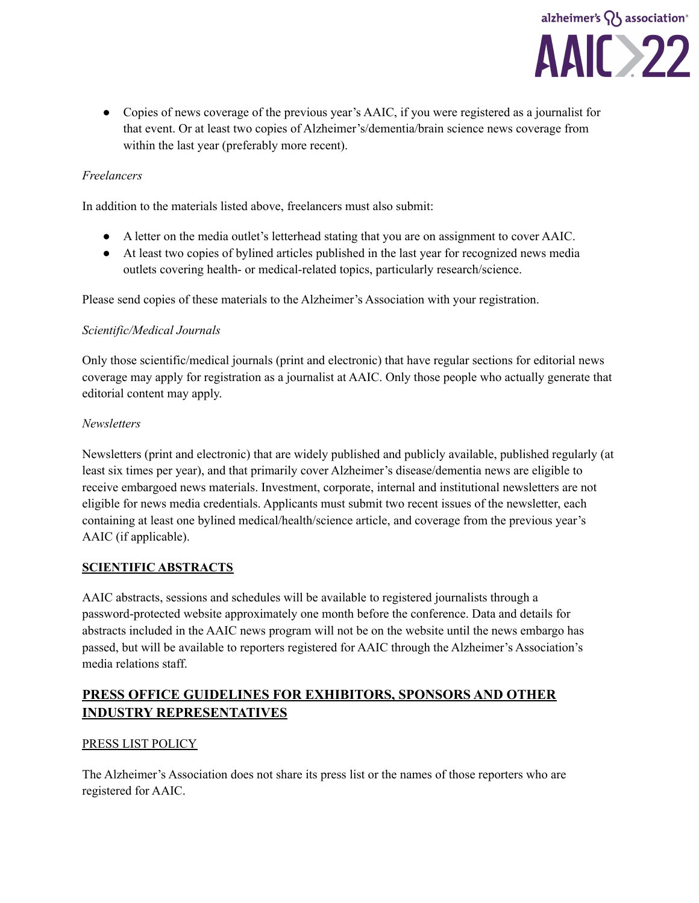

● Copies of news coverage of the previous year's AAIC, if you were registered as a journalist for that event. Or at least two copies of Alzheimer's/dementia/brain science news coverage from within the last year (preferably more recent).

## *Freelancers*

In addition to the materials listed above, freelancers must also submit:

- A letter on the media outlet's letterhead stating that you are on assignment to cover AAIC.
- At least two copies of bylined articles published in the last year for recognized news media outlets covering health- or medical-related topics, particularly research/science.

Please send copies of these materials to the Alzheimer's Association with your registration.

### *Scientific/Medical Journals*

Only those scientific/medical journals (print and electronic) that have regular sections for editorial news coverage may apply for registration as a journalist at AAIC. Only those people who actually generate that editorial content may apply.

#### *Newsletters*

Newsletters (print and electronic) that are widely published and publicly available, published regularly (at least six times per year), and that primarily cover Alzheimer's disease/dementia news are eligible to receive embargoed news materials. Investment, corporate, internal and institutional newsletters are not eligible for news media credentials. Applicants must submit two recent issues of the newsletter, each containing at least one bylined medical/health/science article, and coverage from the previous year's AAIC (if applicable).

### **SCIENTIFIC ABSTRACTS**

AAIC abstracts, sessions and schedules will be available to registered journalists through a password-protected website approximately one month before the conference. Data and details for abstracts included in the AAIC news program will not be on the website until the news embargo has passed, but will be available to reporters registered for AAIC through the Alzheimer's Association's media relations staff.

# **PRESS OFFICE GUIDELINES FOR EXHIBITORS, SPONSORS AND OTHER INDUSTRY REPRESENTATIVES**

### PRESS LIST POLICY

The Alzheimer's Association does not share its press list or the names of those reporters who are registered for AAIC.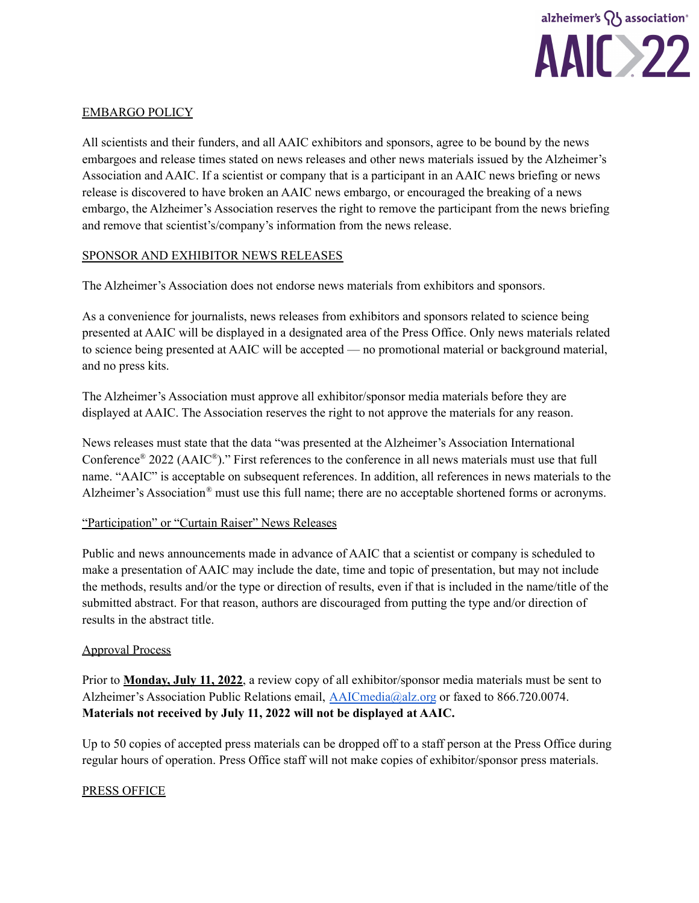

## EMBARGO POLICY

All scientists and their funders, and all AAIC exhibitors and sponsors, agree to be bound by the news embargoes and release times stated on news releases and other news materials issued by the Alzheimer's Association and AAIC. If a scientist or company that is a participant in an AAIC news briefing or news release is discovered to have broken an AAIC news embargo, or encouraged the breaking of a news embargo, the Alzheimer's Association reserves the right to remove the participant from the news briefing and remove that scientist's/company's information from the news release.

### SPONSOR AND EXHIBITOR NEWS RELEASES

The Alzheimer's Association does not endorse news materials from exhibitors and sponsors.

As a convenience for journalists, news releases from exhibitors and sponsors related to science being presented at AAIC will be displayed in a designated area of the Press Office. Only news materials related to science being presented at AAIC will be accepted — no promotional material or background material, and no press kits.

The Alzheimer's Association must approve all exhibitor/sponsor media materials before they are displayed at AAIC. The Association reserves the right to not approve the materials for any reason.

News releases must state that the data "was presented at the Alzheimer's Association International Conference<sup>®</sup> 2022 (AAIC<sup>®</sup>)." First references to the conference in all news materials must use that full name. "AAIC" is acceptable on subsequent references. In addition, all references in news materials to the Alzheimer's Association® must use this full name; there are no acceptable shortened forms or acronyms.

### "Participation" or "Curtain Raiser" News Releases

Public and news announcements made in advance of AAIC that a scientist or company is scheduled to make a presentation of AAIC may include the date, time and topic of presentation, but may not include the methods, results and/or the type or direction of results, even if that is included in the name/title of the submitted abstract. For that reason, authors are discouraged from putting the type and/or direction of results in the abstract title.

#### Approval Process

Prior to **Monday, July 11, 2022**, a review copy of all exhibitor/sponsor media materials must be sent to Alzheimer's Association Public Relations email, [AAICmedia@alz.org](mailto:AAICmedia@alz.org) or faxed to 866.720.0074. **Materials not received by July 11, 2022 will not be displayed at AAIC.**

Up to 50 copies of accepted press materials can be dropped off to a staff person at the Press Office during regular hours of operation. Press Office staff will not make copies of exhibitor/sponsor press materials.

### PRESS OFFICE